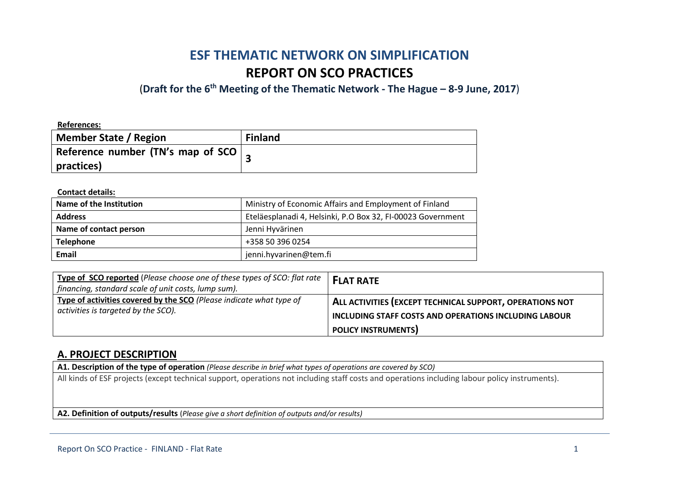# **ESF THEMATIC NETWORK ON SIMPLIFICATION REPORT ON SCO PRACTICES**

(**Draft for the 6th Meeting of the Thematic Network - The Hague – 8-9 June, 2017**)

**References: Member State / Region Finland Reference number (TN's map of SCO practices) <sup>3</sup>**

**Contact details:**

| Name of the Institution | Ministry of Economic Affairs and Employment of Finland      |
|-------------------------|-------------------------------------------------------------|
| <b>Address</b>          | Eteläesplanadi 4, Helsinki, P.O Box 32, FI-00023 Government |
| Name of contact person  | Jenni Hyvärinen                                             |
| <b>Telephone</b>        | +358 50 396 0254                                            |
| Email                   | jenni.hyvarinen@tem.fi                                      |

| <b>Type of SCO reported</b> (Please choose one of these types of SCO: flat rate  <br>financing, standard scale of unit costs, lump sum). | <b>FLAT RATE</b>                                                                                                                                |
|------------------------------------------------------------------------------------------------------------------------------------------|-------------------------------------------------------------------------------------------------------------------------------------------------|
| Type of activities covered by the SCO (Please indicate what type of<br>activities is targeted by the SCO).                               | ALL ACTIVITIES (EXCEPT TECHNICAL SUPPORT, OPERATIONS NOT<br>INCLUDING STAFF COSTS AND OPERATIONS INCLUDING LABOUR<br><b>POLICY INSTRUMENTS)</b> |

#### **A. PROJECT DESCRIPTION**

**A1. Description of the type of operation** *(Please describe in brief what types of operations are covered by SCO)*

All kinds of ESF projects (except technical support, operations not including staff costs and operations including labour policy instruments).

**A2. Definition of outputs/results** (*Please give a short definition of outputs and/or results)*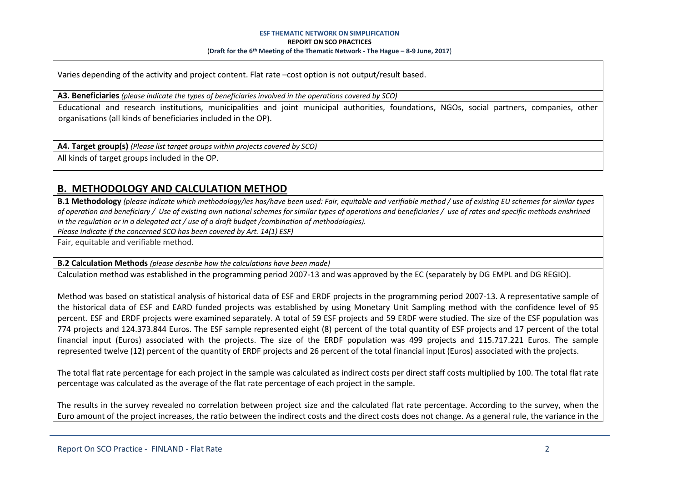Varies depending of the activity and project content. Flat rate –cost option is not output/result based.

**A3. Beneficiaries** *(please indicate the types of beneficiaries involved in the operations covered by SCO)*

Educational and research institutions, municipalities and joint municipal authorities, foundations, NGOs, social partners, companies, other organisations (all kinds of beneficiaries included in the OP).

**A4. Target group(s)** *(Please list target groups within projects covered by SCO)*

All kinds of target groups included in the OP.

### **B. METHODOLOGY AND CALCULATION METHOD**

**B.1 Methodology** *(please indicate which methodology/ies has/have been used: Fair, equitable and verifiable method / use of existing EU schemes for similar types of operation and beneficiary / Use of existing own national schemes for similar types of operations and beneficiaries / use of rates and specific methods enshrined in the regulation or in a delegated act / use of a draft budget /combination of methodologies).*

*Please indicate if the concerned SCO has been covered by Art. 14(1) ESF)*

Fair, equitable and verifiable method.

**B.2 Calculation Methods** *(please describe how the calculations have been made)*

Calculation method was established in the programming period 2007-13 and was approved by the EC (separately by DG EMPL and DG REGIO).

Method was based on statistical analysis of historical data of ESF and ERDF projects in the programming period 2007-13. A representative sample of the historical data of ESF and EARD funded projects was established by using Monetary Unit Sampling method with the confidence level of 95 percent. ESF and ERDF projects were examined separately. A total of 59 ESF projects and 59 ERDF were studied. The size of the ESF population was 774 projects and 124.373.844 Euros. The ESF sample represented eight (8) percent of the total quantity of ESF projects and 17 percent of the total financial input (Euros) associated with the projects. The size of the ERDF population was 499 projects and 115.717.221 Euros. The sample represented twelve (12) percent of the quantity of ERDF projects and 26 percent of the total financial input (Euros) associated with the projects.

The total flat rate percentage for each project in the sample was calculated as indirect costs per direct staff costs multiplied by 100. The total flat rate percentage was calculated as the average of the flat rate percentage of each project in the sample.

The results in the survey revealed no correlation between project size and the calculated flat rate percentage. According to the survey, when the Euro amount of the project increases, the ratio between the indirect costs and the direct costs does not change. As a general rule, the variance in the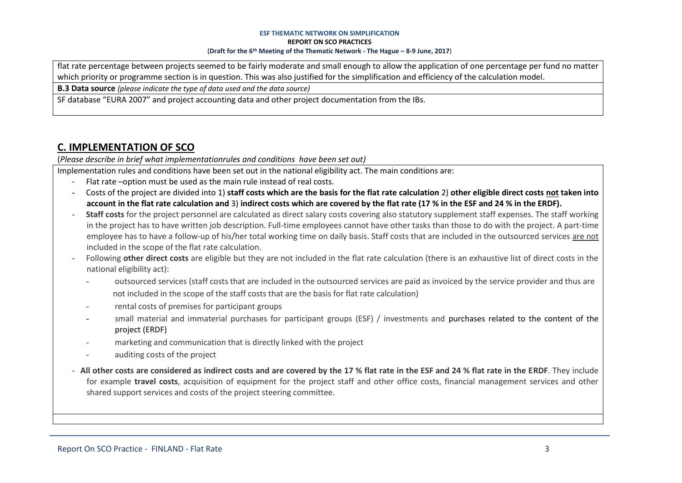flat rate percentage between projects seemed to be fairly moderate and small enough to allow the application of one percentage per fund no matter which priority or programme section is in question. This was also justified for the simplification and efficiency of the calculation model.

**B.3 Data source** *(please indicate the type of data used and the data source)*

SF database "EURA 2007" and project accounting data and other project documentation from the IBs.

# **C. IMPLEMENTATION OF SCO**

(*Please describe in brief what implementationrules and conditions have been set out)*

Implementation rules and conditions have been set out in the national eligibility act. The main conditions are:

- Flat rate –option must be used as the main rule instead of real costs.
- Costs of the project are divided into 1) **staff costs which are the basis for the flat rate calculation** 2) **other eligible direct costs not taken into account in the flat rate calculation and** 3) **indirect costs which are covered by the flat rate (17 % in the ESF and 24 % in the ERDF).**
- **Staff costs** for the project personnel are calculated as direct salary costs covering also statutory supplement staff expenses. The staff working in the project has to have written job description. Full-time employees cannot have other tasks than those to do with the project. A part-time employee has to have a follow-up of his/her total working time on daily basis. Staff costs that are included in the outsourced services are not included in the scope of the flat rate calculation.
- Following **other direct costs** are eligible but they are not included in the flat rate calculation (there is an exhaustive list of direct costs in the national eligibility act):
	- outsourced services (staff costs that are included in the outsourced services are paid as invoiced by the service provider and thus are not included in the scope of the staff costs that are the basis for flat rate calculation)
	- rental costs of premises for participant groups
	- small material and immaterial purchases for participant groups (ESF) / investments and purchases related to the content of the project (ERDF)
	- marketing and communication that is directly linked with the project
	- auditing costs of the project
- **All other costs are considered as indirect costs and are covered by the 17 % flat rate in the ESF and 24 % flat rate in the ERDF**. They include for example **travel costs**, acquisition of equipment for the project staff and other office costs, financial management services and other shared support services and costs of the project steering committee.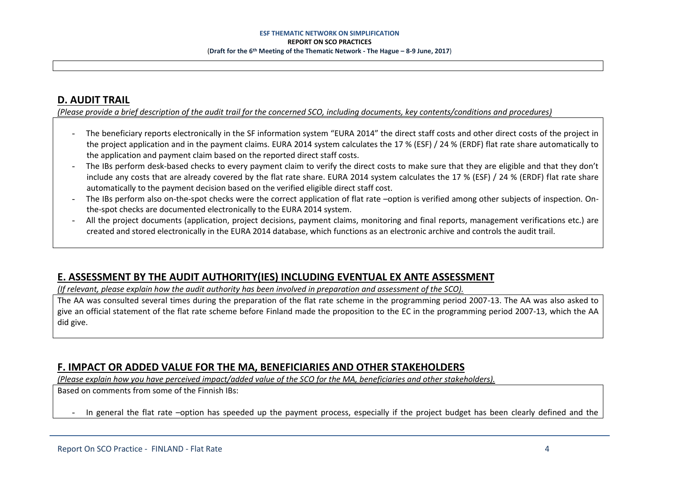### **D. AUDIT TRAIL**

*(Please provide a brief description of the audit trail for the concerned SCO, including documents, key contents/conditions and procedures)*

- The beneficiary reports electronically in the SF information system "EURA 2014" the direct staff costs and other direct costs of the project in the project application and in the payment claims. EURA 2014 system calculates the 17 % (ESF) / 24 % (ERDF) flat rate share automatically to the application and payment claim based on the reported direct staff costs.
- The IBs perform desk-based checks to every payment claim to verify the direct costs to make sure that they are eligible and that they don't include any costs that are already covered by the flat rate share. EURA 2014 system calculates the 17 % (ESF) / 24 % (ERDF) flat rate share automatically to the payment decision based on the verified eligible direct staff cost.
- The IBs perform also on-the-spot checks were the correct application of flat rate –option is verified among other subjects of inspection. Onthe-spot checks are documented electronically to the EURA 2014 system.
- All the proiect documents (application, project decisions, payment claims, monitoring and final reports, management verifications etc.) are created and stored electronically in the EURA 2014 database, which functions as an electronic archive and controls the audit trail.

# **E. ASSESSMENT BY THE AUDIT AUTHORITY(IES) INCLUDING EVENTUAL EX ANTE ASSESSMENT**

*(If relevant, please explain how the audit authority has been involved in preparation and assessment of the SCO).* 

The AA was consulted several times during the preparation of the flat rate scheme in the programming period 2007-13. The AA was also asked to give an official statement of the flat rate scheme before Finland made the proposition to the EC in the programming period 2007-13, which the AA did give.

#### **F. IMPACT OR ADDED VALUE FOR THE MA, BENEFICIARIES AND OTHER STAKEHOLDERS**

*(Please explain how you have perceived impact/added value of the SCO for the MA, beneficiaries and other stakeholders).* 

Based on comments from some of the Finnish IBs:

In general the flat rate –option has speeded up the payment process, especially if the project budget has been clearly defined and the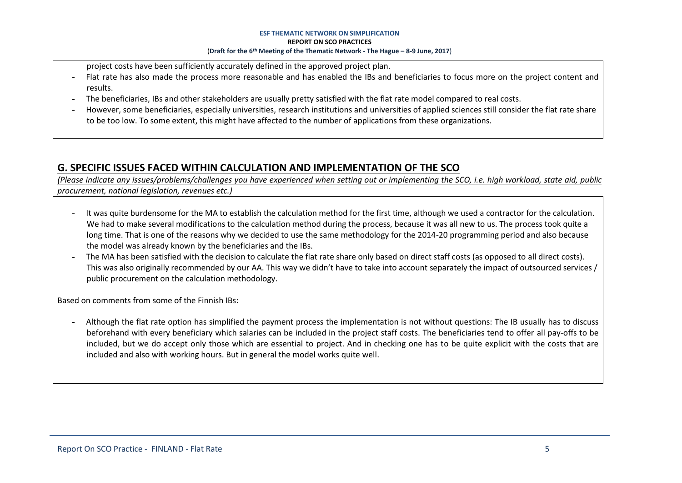project costs have been sufficiently accurately defined in the approved project plan.

- Flat rate has also made the process more reasonable and has enabled the IBs and beneficiaries to focus more on the project content and results.
- The beneficiaries. IBs and other stakeholders are usually pretty satisfied with the flat rate model compared to real costs.
- However, some beneficiaries, especially universities, research institutions and universities of applied sciences still consider the flat rate share to be too low. To some extent, this might have affected to the number of applications from these organizations.

# **G. SPECIFIC ISSUES FACED WITHIN CALCULATION AND IMPLEMENTATION OF THE SCO**

*(Please indicate any issues/problems/challenges you have experienced when setting out or implementing the SCO, i.e. high workload, state aid, public procurement, national legislation, revenues etc.)*

- It was quite burdensome for the MA to establish the calculation method for the first time, although we used a contractor for the calculation. We had to make several modifications to the calculation method during the process, because it was all new to us. The process took quite a long time. That is one of the reasons why we decided to use the same methodology for the 2014-20 programming period and also because the model was already known by the beneficiaries and the IBs.
- The MA has been satisfied with the decision to calculate the flat rate share only based on direct staff costs (as opposed to all direct costs). This was also originally recommended by our AA. This way we didn't have to take into account separately the impact of outsourced services / public procurement on the calculation methodology.

Based on comments from some of the Finnish IBs:

- Although the flat rate option has simplified the payment process the implementation is not without questions: The IB usually has to discuss beforehand with every beneficiary which salaries can be included in the project staff costs. The beneficiaries tend to offer all pay-offs to be included, but we do accept only those which are essential to project. And in checking one has to be quite explicit with the costs that are included and also with working hours. But in general the model works quite well.